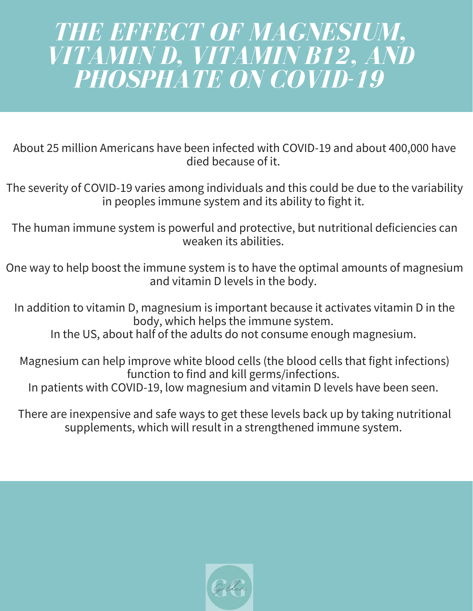# *THE EFFECT OF MAGNESIUM, VITAMIN D, VITAMIN B12, AND PHOSPHATE ON COVID-19*

About 25 million Americans have been infected with COVID-19 and about 400,000 have died because of it.

The severity of COVID-19 varies among individuals and this could be due to the variability in peoples immune system and its ability to fight it.

The human immune system is powerful and protective, but nutritional deficiencies can weaken its abilities.

One way to help boost the immune system is to have the optimal amounts of magnesium and vitamin D levels in the body.

In addition to vitamin D, magnesium is important because it activates vitamin D in the body, which helps the immune system.

In the US, about half of the adults do not consume enough magnesium.

Magnesium can help improve white blood cells (the blood cells that fight infections) function to find and kill germs/infections. In patients with COVID-19, low magnesium and vitamin D levels have been seen.

There are inexpensive and safe ways to get these levels back up by taking nutritional supplements, which will result in a strengthened immune system.

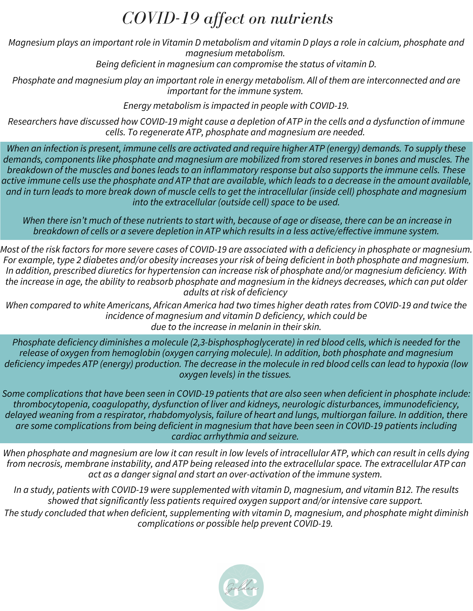#### *COVID-19 affect on nutrients*

Magnesium plays an important role in Vitamin D metabolism and vitamin D plays a role in calcium, phosphate and *magnesium metabolism.*

*Being deficient in magnesium can compromise the status of vitamin D.*

Phosphate and magnesium play an important role in energy metabolism. All of them are interconnected and are *important for the immune system.*

*Energy metabolism is impacted in people with COVID-19.*

Researchers have discussed how COVID-19 might cause a depletion of ATP in the cells and a dysfunction of immune *cells. To regenerate ATP, phosphate and magnesium are needed.*

When an infection is present, immune cells are activated and require higher ATP (energy) demands. To supply these *demands, components like phosphate and magnesium are mobilized from stored reserves in bones and muscles. The* breakdown of the muscles and bones leads to an inflammatory response but also supports the immune cells. These active immune cells use the phosphate and ATP that are available, which leads to a decrease in the amount available, and in turn leads to more break down of muscle cells to get the intracellular (inside cell) phosphate and magnesium *into the extracellular (outside cell) space to be used.*

When there isn't much of these nutrients to start with, because of age or disease, there can be an increase in *breakdown of cells or a severe depletion in ATP which results in a less active/effective immune system.*

Most of the risk factors for more severe cases of COVID-19 are associated with a deficiency in phosphate or magnesium. For example, type 2 diabetes and/or obesity increases your risk of being deficient in both phosphate and magnesium. *In addition, prescribed diuretics for hypertension can increase risk of phosphate and/or magnesium deficiency. With* the increase in age, the ability to reabsorb phosphate and magnesium in the kidneys decreases, which can put older *adults at risk of deficiency*

When compared to white Americans, African America had two times higher death rates from COVID-19 and twice the *incidence of magnesium and vitamin D deficiency, which could be due to the increase in melanin in their skin.*

*Phosphate deficiency diminishes a molecule (2,3-bisphosphoglycerate) in red blood cells, which is needed for the release of oxygen from hemoglobin (oxygen carrying molecule). In addition, both phosphate and magnesium* deficiency impedes ATP (energy) production. The decrease in the molecule in red blood cells can lead to hypoxia (low *oxygen levels) in the tissues.*

Some complications that have been seen in COVID-19 patients that are also seen when deficient in phosphate include: *thrombocytopenia, coagulopathy, dysfunction of liver and kidneys, neurologic disturbances, immunodeficiency,* delayed weaning from a respirator, rhabdomyolysis, failure of heart and lungs, multiorgan failure. In addition, there *are some complications from being deficient in magnesium that have been seen in COVID-19 patients including cardiac arrhythmia and seizure.*

When phosphate and magnesium are low it can result in low levels of intracellular ATP, which can result in cells dying from necrosis, membrane instability, and ATP being released into the extracellular space. The extracellular ATP can *act as a danger signal and start an over-activation of the immune system.*

In a study, patients with COVID-19 were supplemented with vitamin D, magnesium, and vitamin B12. The results *showed that significantly less patients required oxygen support and/or intensive care support. The study concluded that when deficient, supplementing with vitamin D, magnesium, and phosphate might diminish complications or possible help prevent COVID-19.*